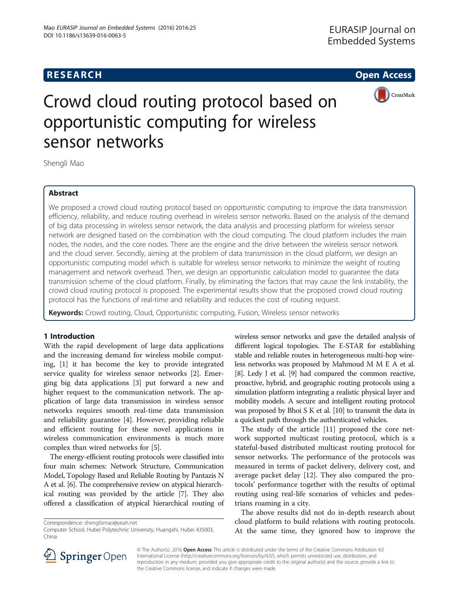## **RESEARCH CHE Open Access**



# Crowd cloud routing protocol based on opportunistic computing for wireless sensor networks

Shengli Mao

## Abstract

We proposed a crowd cloud routing protocol based on opportunistic computing to improve the data transmission efficiency, reliability, and reduce routing overhead in wireless sensor networks. Based on the analysis of the demand of big data processing in wireless sensor network, the data analysis and processing platform for wireless sensor network are designed based on the combination with the cloud computing. The cloud platform includes the main nodes, the nodes, and the core nodes. There are the engine and the drive between the wireless sensor network and the cloud server. Secondly, aiming at the problem of data transmission in the cloud platform, we design an opportunistic computing model which is suitable for wireless sensor networks to minimize the weight of routing management and network overhead. Then, we design an opportunistic calculation model to guarantee the data transmission scheme of the cloud platform. Finally, by eliminating the factors that may cause the link instability, the crowd cloud routing protocol is proposed. The experimental results show that the proposed crowd cloud routing protocol has the functions of real-time and reliability and reduces the cost of routing request.

Keywords: Crowd routing, Cloud, Opportunistic computing, Fusion, Wireless sensor networks

### 1 Introduction

With the rapid development of large data applications and the increasing demand for wireless mobile computing, [\[1](#page-5-0)] it has become the key to provide integrated service quality for wireless sensor networks [[2](#page-5-0)]. Emerging big data applications [[3\]](#page-5-0) put forward a new and higher request to the communication network. The application of large data transmission in wireless sensor networks requires smooth real-time data transmission and reliability guarantee [\[4](#page-5-0)]. However, providing reliable and efficient routing for these novel applications in wireless communication environments is much more complex than wired networks for [\[5](#page-5-0)].

The energy-efficient routing protocols were classified into four main schemes: Network Structure, Communication Model, Topology Based and Reliable Routing by Pantazis N A et al. [\[6\]](#page-5-0). The comprehensive review on atypical hierarchical routing was provided by the article [[7](#page-5-0)]. They also offered a classification of atypical hierarchical routing of

Correspondence: [shenglismao@yeah.net](mailto:shenglismao@yeah.net)

wireless sensor networks and gave the detailed analysis of different logical topologies. The E-STAR for establishing stable and reliable routes in heterogeneous multi-hop wireless networks was proposed by Mahmoud M M E A et al. [[8](#page-5-0)]. Ledy J et al. [[9](#page-5-0)] had compared the common reactive, proactive, hybrid, and geographic routing protocols using a simulation platform integrating a realistic physical layer and mobility models. A secure and intelligent routing protocol was proposed by Bhoi S K et al. [\[10](#page-5-0)] to transmit the data in a quickest path through the authenticated vehicles.

The study of the article [[11\]](#page-5-0) proposed the core network supported multicast routing protocol, which is a stateful-based distributed multicast routing protocol for sensor networks. The performance of the protocols was measured in terms of packet delivery, delivery cost, and average packet delay [\[12\]](#page-5-0). They also compared the protocols' performance together with the results of optimal routing using real-life scenarios of vehicles and pedestrians roaming in a city.

The above results did not do in-depth research about cloud platform to build relations with routing protocols. At the same time, they ignored how to improve the



© The Author(s). 2016 Open Access This article is distributed under the terms of the Creative Commons Attribution 4.0 International License ([http://creativecommons.org/licenses/by/4.0/\)](http://creativecommons.org/licenses/by/4.0/), which permits unrestricted use, distribution, and reproduction in any medium, provided you give appropriate credit to the original author(s) and the source, provide a link to the Creative Commons license, and indicate if changes were made.

Computer School, Hubei Polytechnic University, Huangshi, Hubei 435003, China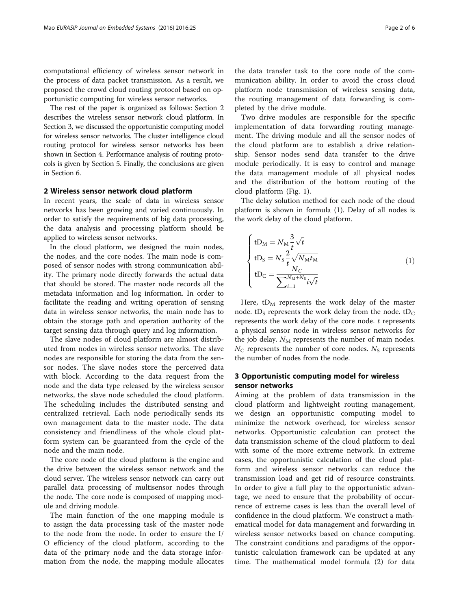computational efficiency of wireless sensor network in the process of data packet transmission. As a result, we proposed the crowd cloud routing protocol based on opportunistic computing for wireless sensor networks.

The rest of the paper is organized as follows: Section 2 describes the wireless sensor network cloud platform. In Section 3, we discussed the opportunistic computing model for wireless sensor networks. The cluster intelligence cloud routing protocol for wireless sensor networks has been shown in Section [4](#page-3-0). Performance analysis of routing protocols is given by Section [5.](#page-3-0) Finally, the conclusions are given in Section [6](#page-5-0).

## 2 Wireless sensor network cloud platform

In recent years, the scale of data in wireless sensor networks has been growing and varied continuously. In order to satisfy the requirements of big data processing, the data analysis and processing platform should be applied to wireless sensor networks.

In the cloud platform, we designed the main nodes, the nodes, and the core nodes. The main node is composed of sensor nodes with strong communication ability. The primary node directly forwards the actual data that should be stored. The master node records all the metadata information and log information. In order to facilitate the reading and writing operation of sensing data in wireless sensor networks, the main node has to obtain the storage path and operation authority of the target sensing data through query and log information.

The slave nodes of cloud platform are almost distributed from nodes in wireless sensor networks. The slave nodes are responsible for storing the data from the sensor nodes. The slave nodes store the perceived data with block. According to the data request from the node and the data type released by the wireless sensor networks, the slave node scheduled the cloud platform. The scheduling includes the distributed sensing and centralized retrieval. Each node periodically sends its own management data to the master node. The data consistency and friendliness of the whole cloud platform system can be guaranteed from the cycle of the node and the main node.

The core node of the cloud platform is the engine and the drive between the wireless sensor network and the cloud server. The wireless sensor network can carry out parallel data processing of multisensor nodes through the node. The core node is composed of mapping module and driving module.

The main function of the one mapping module is to assign the data processing task of the master node to the node from the node. In order to ensure the I/ O efficiency of the cloud platform, according to the data of the primary node and the data storage information from the node, the mapping module allocates

the data transfer task to the core node of the communication ability. In order to avoid the cross cloud platform node transmission of wireless sensing data, the routing management of data forwarding is completed by the drive module.

Two drive modules are responsible for the specific implementation of data forwarding routing management. The driving module and all the sensor nodes of the cloud platform are to establish a drive relationship. Sensor nodes send data transfer to the drive module periodically. It is easy to control and manage the data management module of all physical nodes and the distribution of the bottom routing of the cloud platform (Fig. [1\)](#page-2-0).

The delay solution method for each node of the cloud platform is shown in formula (1). Delay of all nodes is the work delay of the cloud platform.

$$
\begin{cases}\n\text{t}D_{\text{M}} = N_{\text{M}} \frac{3}{t} \sqrt{t} \\
\text{t}D_{\text{S}} = N_{\text{S}} \frac{2}{t} \sqrt{N_{\text{M}} t_{\text{M}}}} \\
\text{t}D_{\text{C}} = \frac{N_{\text{C}}}{\sum_{i=1}^{N_{\text{M}} + N_{\text{S}}} i \sqrt{t}}\n\end{cases} (1)
$$

Here,  $tD_M$  represents the work delay of the master node. tD<sub>S</sub> represents the work delay from the node. tD<sub>C</sub> represents the work delay of the core node. t represents a physical sensor node in wireless sensor networks for the job delay.  $N_M$  represents the number of main nodes.  $N_{\rm C}$  represents the number of core nodes.  $N_{\rm S}$  represents the number of nodes from the node.

## 3 Opportunistic computing model for wireless sensor networks

Aiming at the problem of data transmission in the cloud platform and lightweight routing management, we design an opportunistic computing model to minimize the network overhead, for wireless sensor networks. Opportunistic calculation can protect the data transmission scheme of the cloud platform to deal with some of the more extreme network. In extreme cases, the opportunistic calculation of the cloud platform and wireless sensor networks can reduce the transmission load and get rid of resource constraints. In order to give a full play to the opportunistic advantage, we need to ensure that the probability of occurrence of extreme cases is less than the overall level of confidence in the cloud platform. We construct a mathematical model for data management and forwarding in wireless sensor networks based on chance computing. The constraint conditions and paradigms of the opportunistic calculation framework can be updated at any time. The mathematical model formula (2) for data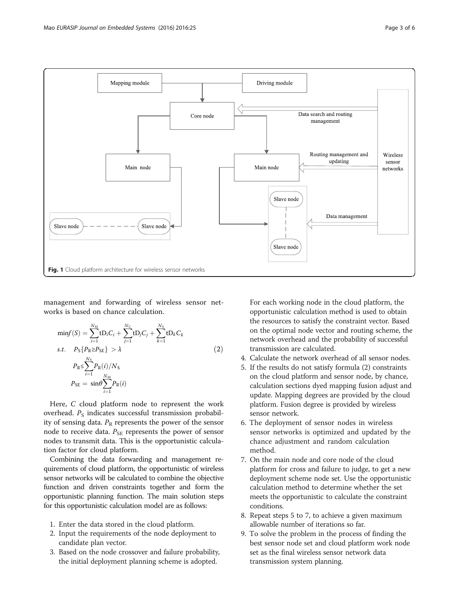<span id="page-2-0"></span>

management and forwarding of wireless sensor networks is based on chance calculation.

$$
\min f(S) = \sum_{i=1}^{N_M} \text{t}D_i C_i + \sum_{j=1}^{N_C} \text{t}D_j C_j + \sum_{k=1}^{N_S} \text{t}D_k C_k
$$
\n*s.t.*  $P_S \{P_R \ge P_{SE}\} > \lambda$  (2)  
\n
$$
P_R \le \sum_{i=1}^{N_S} P_R(i)/N_S
$$
\n
$$
P_{SE} = \sin \theta \sum_{i=1}^{N_M} P_R(i)
$$

Here, C cloud platform node to represent the work overhead.  $P_S$  indicates successful transmission probability of sensing data.  $P_R$  represents the power of the sensor node to receive data.  $P_{SE}$  represents the power of sensor nodes to transmit data. This is the opportunistic calculation factor for cloud platform.

Combining the data forwarding and management requirements of cloud platform, the opportunistic of wireless sensor networks will be calculated to combine the objective function and driven constraints together and form the opportunistic planning function. The main solution steps for this opportunistic calculation model are as follows:

- 1. Enter the data stored in the cloud platform.
- 2. Input the requirements of the node deployment to candidate plan vector.
- 3. Based on the node crossover and failure probability, the initial deployment planning scheme is adopted.

For each working node in the cloud platform, the opportunistic calculation method is used to obtain the resources to satisfy the constraint vector. Based on the optimal node vector and routing scheme, the network overhead and the probability of successful transmission are calculated.

- 4. Calculate the network overhead of all sensor nodes.
- 5. If the results do not satisfy formula (2) constraints on the cloud platform and sensor node, by chance, calculation sections dyed mapping fusion adjust and update. Mapping degrees are provided by the cloud platform. Fusion degree is provided by wireless sensor network.
- 6. The deployment of sensor nodes in wireless sensor networks is optimized and updated by the chance adjustment and random calculation method.
- 7. On the main node and core node of the cloud platform for cross and failure to judge, to get a new deployment scheme node set. Use the opportunistic calculation method to determine whether the set meets the opportunistic to calculate the constraint conditions.
- 8. Repeat steps 5 to 7, to achieve a given maximum allowable number of iterations so far.
- 9. To solve the problem in the process of finding the best sensor node set and cloud platform work node set as the final wireless sensor network data transmission system planning.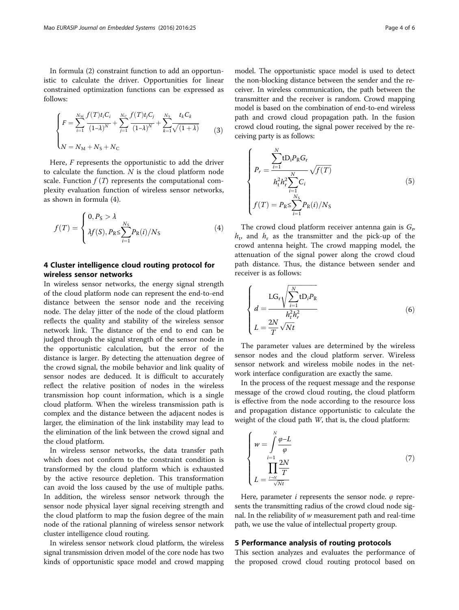<span id="page-3-0"></span>In formula (2) constraint function to add an opportunistic to calculate the driver. Opportunities for linear constrained optimization functions can be expressed as follows:

$$
\begin{cases}\nF = \sum_{i=1}^{N_{\rm M}} \frac{f(T)t_i C_i}{(1-\lambda)^N} + \sum_{j=1}^{N_{\rm C}} \frac{f(T)t_j C_j}{(1-\lambda)^N} + \sum_{k=1}^{N_{\rm S}} \frac{t_k C_k}{\sqrt{(1+\lambda)}} \\
N = N_{\rm M} + N_{\rm S} + N_{\rm C}\n\end{cases} (3)
$$

Here, F represents the opportunistic to add the driver to calculate the function.  $N$  is the cloud platform node scale. Function  $f(T)$  represents the computational complexity evaluation function of wireless sensor networks, as shown in formula (4).

$$
f(T) = \begin{cases} 0, P_{\rm S} > \lambda & (4) \\ \lambda f(S), P_{\rm R} \le \sum_{i=1}^{N_{\rm S}} P_{\rm R}(i) / N_{\rm S} & (4) \end{cases}
$$

## 4 Cluster intelligence cloud routing protocol for wireless sensor networks

In wireless sensor networks, the energy signal strength of the cloud platform node can represent the end-to-end distance between the sensor node and the receiving node. The delay jitter of the node of the cloud platform reflects the quality and stability of the wireless sensor network link. The distance of the end to end can be judged through the signal strength of the sensor node in the opportunistic calculation, but the error of the distance is larger. By detecting the attenuation degree of the crowd signal, the mobile behavior and link quality of sensor nodes are deduced. It is difficult to accurately reflect the relative position of nodes in the wireless transmission hop count information, which is a single cloud platform. When the wireless transmission path is complex and the distance between the adjacent nodes is larger, the elimination of the link instability may lead to the elimination of the link between the crowd signal and the cloud platform.

In wireless sensor networks, the data transfer path which does not conform to the constraint condition is transformed by the cloud platform which is exhausted by the active resource depletion. This transformation can avoid the loss caused by the use of multiple paths. In addition, the wireless sensor network through the sensor node physical layer signal receiving strength and the cloud platform to map the fusion degree of the main node of the rational planning of wireless sensor network cluster intelligence cloud routing.

In wireless sensor network cloud platform, the wireless signal transmission driven model of the core node has two kinds of opportunistic space model and crowd mapping

model. The opportunistic space model is used to detect the non-blocking distance between the sender and the receiver. In wireless communication, the path between the transmitter and the receiver is random. Crowd mapping model is based on the combination of end-to-end wireless path and crowd cloud propagation path. In the fusion crowd cloud routing, the signal power received by the receiving party is as follows:

$$
\begin{cases}\n& \sum_{i=1}^{N} \text{t} \mathbf{D}_{i} P_{R} G_{r} \\
P_{r} = \frac{\sum_{i=1}^{N} \mathbf{D}_{i} P_{R} G_{r}}{h_{t}^{2} h_{r}^{2} \sum_{i=1}^{N} C_{i}} \\
f(T) = P_{R} \leq \sum_{i=1}^{N_{S}} P_{R}(i) / N_{S}\n\end{cases} (5)
$$

The crowd cloud platform receiver antenna gain is  $G_r$ ,  $h_t$ , and  $h_r$  as the transmitter and the pick-up of the crowd antenna height. The crowd mapping model, the attenuation of the signal power along the crowd cloud path distance. Thus, the distance between sender and receiver is as follows:

$$
\begin{cases}\nLG_r \sqrt{\sum_{i=1}^N t D_i P_R} \\
d = \frac{h_t^2 h_r^2}{h_t^2 h_r^2}\n\end{cases}
$$
\n(6)

The parameter values are determined by the wireless sensor nodes and the cloud platform server. Wireless sensor network and wireless mobile nodes in the network interface configuration are exactly the same.

In the process of the request message and the response message of the crowd cloud routing, the cloud platform is effective from the node according to the resource loss and propagation distance opportunistic to calculate the weight of the cloud path W, that is, the cloud platform:

$$
\begin{cases}\n w = \int_{\substack{\text{i=1} \\ \text{m} \neq 1}}^N \frac{\varphi - L}{\varphi} \\
 L = \frac{\sum_{i=N} \text{m} \cdot \mathcal{D}}{\sqrt{Nt}}\n\end{cases} (7)
$$

Here, parameter *i* represents the sensor node.  $\varphi$  represents the transmitting radius of the crowd cloud node signal. In the reliability of  $w$  measurement path and real-time path, we use the value of intellectual property group.

#### 5 Performance analysis of routing protocols

This section analyzes and evaluates the performance of the proposed crowd cloud routing protocol based on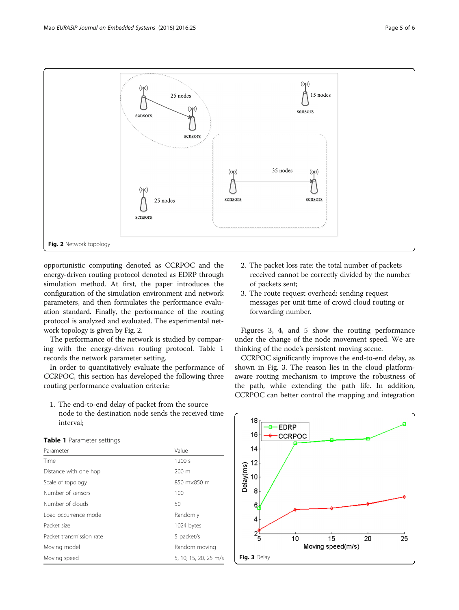

opportunistic computing denoted as CCRPOC and the energy-driven routing protocol denoted as EDRP through simulation method. At first, the paper introduces the configuration of the simulation environment and network parameters, and then formulates the performance evaluation standard. Finally, the performance of the routing protocol is analyzed and evaluated. The experimental network topology is given by Fig. 2.

The performance of the network is studied by comparing with the energy-driven routing protocol. Table 1 records the network parameter setting.

In order to quantitatively evaluate the performance of CCRPOC, this section has developed the following three routing performance evaluation criteria:

1. The end-to-end delay of packet from the source node to the destination node sends the received time interval;

| Value             |
|-------------------|
| 1200s             |
| 200 m             |
| 850 m×850 m       |
| 100               |
| 50                |
| Randomly          |
| 1024 bytes        |
| 5 packet/s        |
| Random moving     |
| 5, 10, 15, 20, 25 |
|                   |

- 2. The packet loss rate: the total number of packets received cannot be correctly divided by the number of packets sent;
- 3. The route request overhead: sending request messages per unit time of crowd cloud routing or forwarding number.

Figures 3, [4,](#page-5-0) and [5](#page-5-0) show the routing performance under the change of the node movement speed. We are thinking of the node's persistent moving scene.

CCRPOC significantly improve the end-to-end delay, as shown in Fig. 3. The reason lies in the cloud platformaware routing mechanism to improve the robustness of the path, while extending the path life. In addition, CCRPOC can better control the mapping and integration